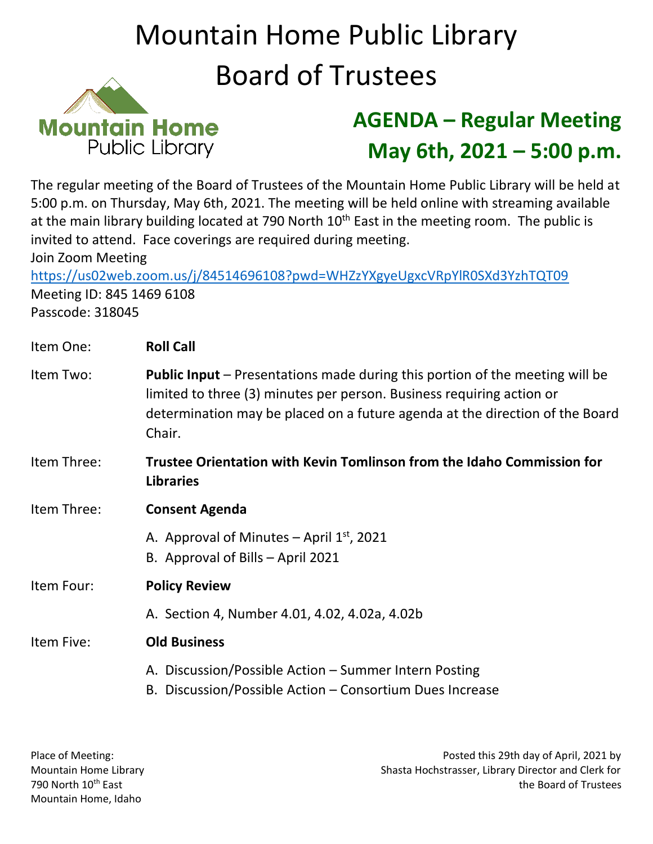## Mountain Home Public Library Board of Trustees



## **AGENDA – Regular Meeting May 6th, 2021 – 5:00 p.m.**

The regular meeting of the Board of Trustees of the Mountain Home Public Library will be held at 5:00 p.m. on Thursday, May 6th, 2021. The meeting will be held online with streaming available at the main library building located at 790 North  $10<sup>th</sup>$  East in the meeting room. The public is invited to attend. Face coverings are required during meeting. Join Zoom Meeting

<https://us02web.zoom.us/j/84514696108?pwd=WHZzYXgyeUgxcVRpYlR0SXd3YzhTQT09> Meeting ID: 845 1469 6108 Passcode: 318045

| Item One:   | <b>Roll Call</b>                                                                                                                                                                                                                                       |
|-------------|--------------------------------------------------------------------------------------------------------------------------------------------------------------------------------------------------------------------------------------------------------|
| Item Two:   | <b>Public Input</b> – Presentations made during this portion of the meeting will be<br>limited to three (3) minutes per person. Business requiring action or<br>determination may be placed on a future agenda at the direction of the Board<br>Chair. |
| Item Three: | Trustee Orientation with Kevin Tomlinson from the Idaho Commission for<br><b>Libraries</b>                                                                                                                                                             |
| Item Three: | <b>Consent Agenda</b>                                                                                                                                                                                                                                  |
|             | A. Approval of Minutes – April $1st$ , 2021<br>B. Approval of Bills - April 2021                                                                                                                                                                       |
| Item Four:  | <b>Policy Review</b>                                                                                                                                                                                                                                   |
|             | A. Section 4, Number 4.01, 4.02, 4.02a, 4.02b                                                                                                                                                                                                          |
| Item Five:  | <b>Old Business</b>                                                                                                                                                                                                                                    |
|             | A. Discussion/Possible Action – Summer Intern Posting<br>B. Discussion/Possible Action – Consortium Dues Increase                                                                                                                                      |